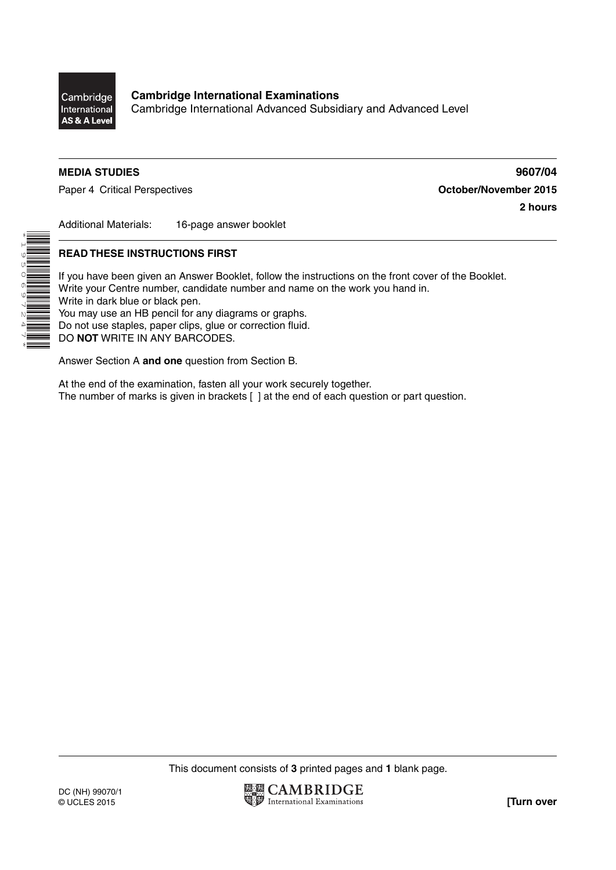

\*1950697247\*

Cambridge International Advanced Subsidiary and Advanced Level

### **MEDIA STUDIES 9607/04**

Paper 4 Critical Perspectives **COLLECT 100 COLLECT 100 COLLECT 100 COLLECT 100 COLLECT 100 COLLECT 100 COLLECT** 100

**2 hours**

Additional Materials: 16-page answer booklet

## **READ THESE INSTRUCTIONS FIRST**

If you have been given an Answer Booklet, follow the instructions on the front cover of the Booklet. Write your Centre number, candidate number and name on the work you hand in. Write in dark blue or black pen.  $\frac{1}{2}$  You may use an HB pencil for any diagrams or graphs. Do not use staples, paper clips, glue or correction fluid.

DO **NOT** WRITE IN ANY BARCODES.

Answer Section A **and one** question from Section B.

At the end of the examination, fasten all your work securely together. The number of marks is given in brackets [ ] at the end of each question or part question.

This document consists of **3** printed pages and **1** blank page.

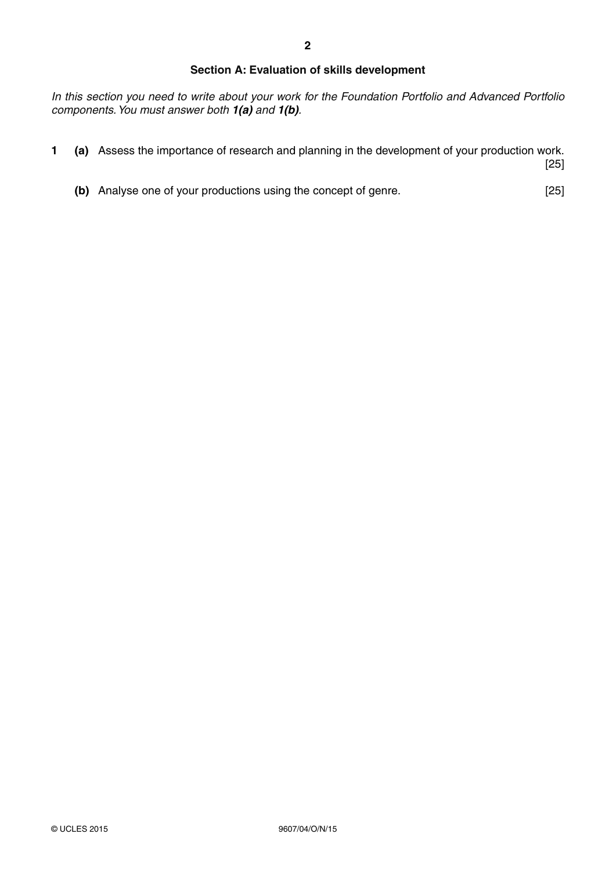### **Section A: Evaluation of skills development**

*In this section you need to write about your work for the Foundation Portfolio and Advanced Portfolio components. You must answer both 1(a) and 1(b).*

**1 (a)** Assess the importance of research and planning in the development of your production work.

[25]

 **(b)** Analyse one of your productions using the concept of genre. [25]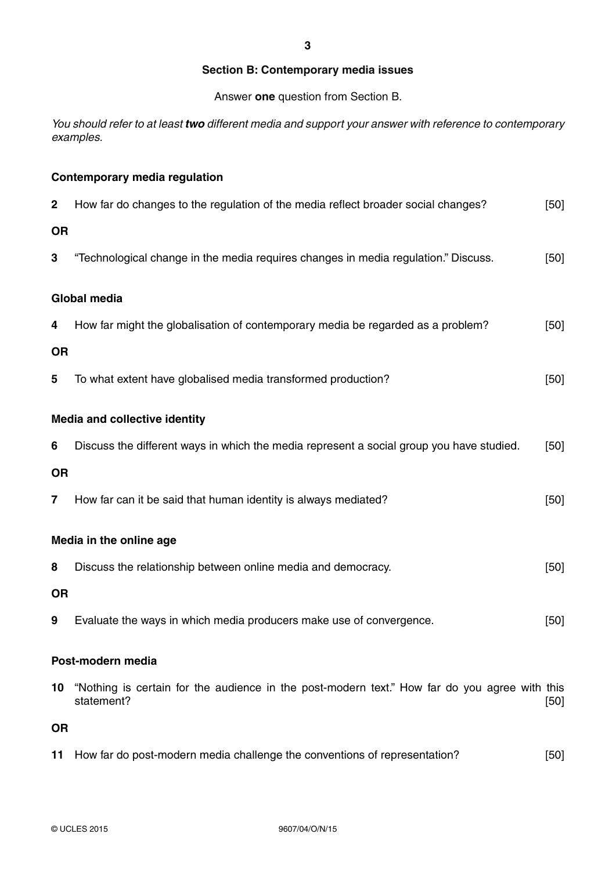#### **Section B: Contemporary media issues**

Answer **one** question from Section B.

*You should refer to at least two different media and support your answer with reference to contemporary examples.*

# **Contemporary media regulation 2** How far do changes to the regulation of the media reflect broader social changes? [50] **OR 3** "Technological change in the media requires changes in media regulation." Discuss. [50] **Global media 4** How far might the globalisation of contemporary media be regarded as a problem? [50] **OR 5** To what extent have globalised media transformed production? [50] **Media and collective identity 6** Discuss the different ways in which the media represent a social group you have studied. [50] **OR 7 How far can it be said that human identity is always mediated?** [50] **Media in the online age 8** Discuss the relationship between online media and democracy. [50] **OR 9** Evaluate the ways in which media producers make use of convergence. [50] **Post-modern media 10** "Nothing is certain for the audience in the post-modern text." How far do you agree with this statement? [50] **OR**

**11** How far do post-modern media challenge the conventions of representation? [50]